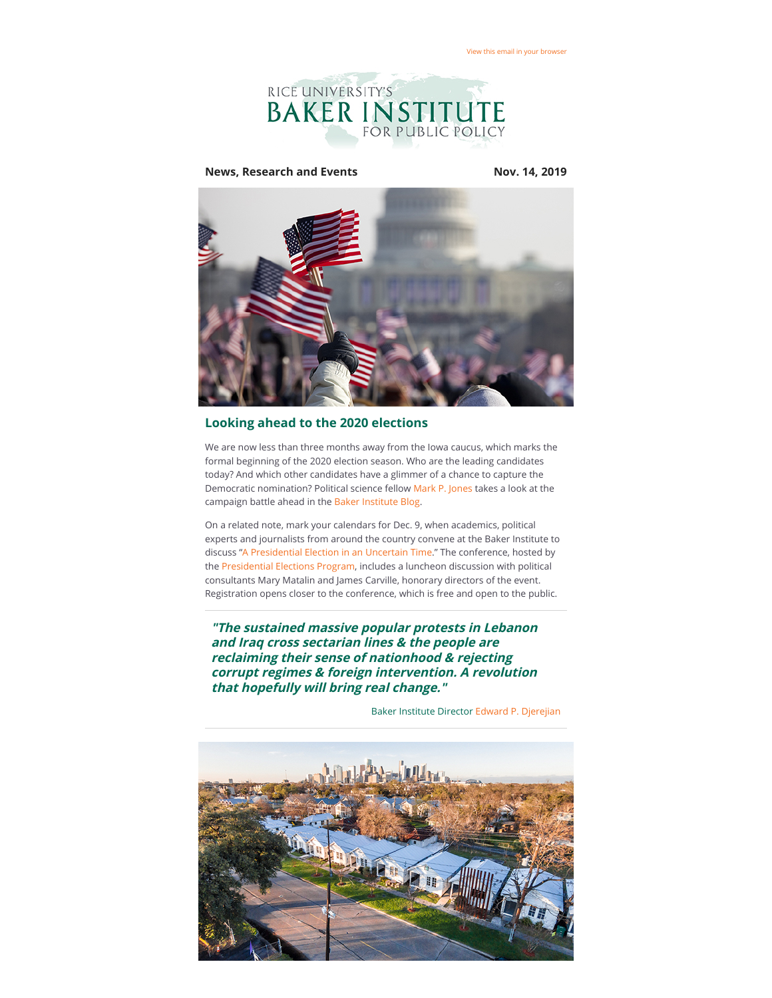

## **News, Research and Events Nov. 14, 2019**



## **Looking ahead to the 2020 elections**

We are now less than three months away from the Iowa caucus, which marks the formal beginning of the 2020 election season. Who are the leading candidates today? And which other candidates have a glimmer of a chance to capture the Democratic nomination? Political science fellow [Mark P. Jones](https://riceconnect.rice.edu/page.redir?target=https%3a%2f%2fwww.bakerinstitute.org%2fexperts%2fmark-p-jones%2f&srcid=98323&srctid=1&erid=ab4a916e-6ebb-4dec-a036-d221f5d5a5fa&trid=ab4a916e-6ebb-4dec-a036-d221f5d5a5fa) takes a look at the campaign battle ahead in the [Baker Institute Blog](https://riceconnect.rice.edu/page.redir?target=http%3a%2f%2fblog.bakerinstitute.org%2f2019%2f11%2f13%2flooking-ahead-to-the-2020-elections%2f&srcid=98323&srctid=1&erid=ab4a916e-6ebb-4dec-a036-d221f5d5a5fa&trid=ab4a916e-6ebb-4dec-a036-d221f5d5a5fa).

On a related note, mark your calendars for Dec. 9, when academics, political experts and journalists from around the country convene at the Baker Institute to discuss ["A Presidential Election in an Uncertain Time.](https://riceconnect.rice.edu/page.redir?target=https%3a%2f%2fwww.bakerinstitute.org%2fevents%2f2039%2f&srcid=98323&srctid=1&erid=ab4a916e-6ebb-4dec-a036-d221f5d5a5fa&trid=ab4a916e-6ebb-4dec-a036-d221f5d5a5fa)" The conference, hosted by the [Presidential Elections Program](https://riceconnect.rice.edu/page.redir?target=https%3a%2f%2fwww.bakerinstitute.org%2fpresidential-elections-program%2f&srcid=98323&srctid=1&erid=ab4a916e-6ebb-4dec-a036-d221f5d5a5fa&trid=ab4a916e-6ebb-4dec-a036-d221f5d5a5fa), includes a luncheon discussion with political consultants Mary Matalin and James Carville, honorary directors of the event. Registration opens closer to the conference, which is free and open to the public.

**"The sustained massive popular protests in Lebanon and Iraq cross sectarian lines & the people are reclaiming their sense of nationhood & rejecting corrupt regimes & foreign intervention. A revolution that hopefully will bring real change."**

Baker Institute Director [Edward P. Djerejian](https://riceconnect.rice.edu/page.redir?target=https%3a%2f%2fwww.bakerinstitute.org%2fexperts%2fedward-p-djerejian%2f&srcid=98323&srctid=1&erid=ab4a916e-6ebb-4dec-a036-d221f5d5a5fa&trid=ab4a916e-6ebb-4dec-a036-d221f5d5a5fa)